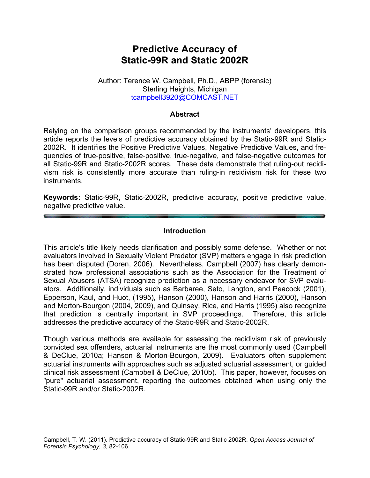# **Predictive Accuracy of Static-99R and Static 2002R**

#### Author: Terence W. Campbell, Ph.D., ABPP (forensic) Sterling Heights, Michigan tcampbell3920@COMCAST.NET

## **Abstract**

Relying on the comparison groups recommended by the instruments' developers, this article reports the levels of predictive accuracy obtained by the Static-99R and Static-2002R. It identifies the Positive Predictive Values, Negative Predictive Values, and frequencies of true-positive, false-positive, true-negative, and false-negative outcomes for all Static-99R and Static-2002R scores. These data demonstrate that ruling-out recidivism risk is consistently more accurate than ruling-in recidivism risk for these two instruments.

**Keywords:** Static-99R, Static-2002R, predictive accuracy, positive predictive value, negative predictive value.

#### **Introduction**

This article's title likely needs clarification and possibly some defense. Whether or not evaluators involved in Sexually Violent Predator (SVP) matters engage in risk prediction has been disputed (Doren, 2006). Nevertheless, Campbell (2007) has clearly demonstrated how professional associations such as the Association for the Treatment of Sexual Abusers (ATSA) recognize prediction as a necessary endeavor for SVP evaluators. Additionally, individuals such as Barbaree, Seto, Langton, and Peacock (2001), Epperson, Kaul, and Huot, (1995), Hanson (2000), Hanson and Harris (2000), Hanson and Morton-Bourgon (2004, 2009), and Quinsey, Rice, and Harris (1995) also recognize that prediction is centrally important in SVP proceedings. Therefore, this article addresses the predictive accuracy of the Static-99R and Static-2002R.

Though various methods are available for assessing the recidivism risk of previously convicted sex offenders, actuarial instruments are the most commonly used (Campbell & DeClue, 2010a; Hanson & Morton-Bourgon, 2009). Evaluators often supplement actuarial instruments with approaches such as adjusted actuarial assessment, or guided clinical risk assessment (Campbell & DeClue, 2010b). This paper, however, focuses on "pure" actuarial assessment, reporting the outcomes obtained when using only the Static-99R and/or Static-2002R.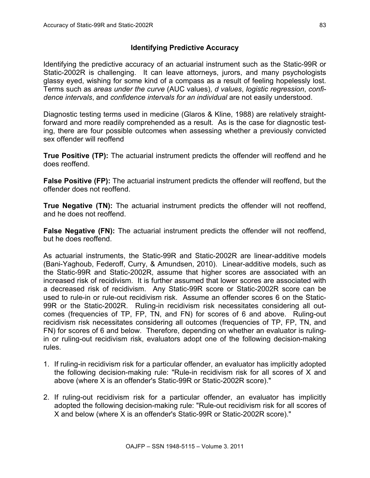## **Identifying Predictive Accuracy**

Identifying the predictive accuracy of an actuarial instrument such as the Static-99R or Static-2002R is challenging. It can leave attorneys, jurors, and many psychologists glassy eyed, wishing for some kind of a compass as a result of feeling hopelessly lost. Terms such as *areas under the curve* (AUC values), *d values*, *logistic regression*, *confidence intervals*, and *confidence intervals for an individual* are not easily understood.

Diagnostic testing terms used in medicine (Glaros & Kline, 1988) are relatively straightforward and more readily comprehended as a result. As is the case for diagnostic testing, there are four possible outcomes when assessing whether a previously convicted sex offender will reoffend

**True Positive (TP):** The actuarial instrument predicts the offender will reoffend and he does reoffend.

**False Positive (FP):** The actuarial instrument predicts the offender will reoffend, but the offender does not reoffend.

**True Negative (TN):** The actuarial instrument predicts the offender will not reoffend, and he does not reoffend.

**False Negative (FN):** The actuarial instrument predicts the offender will not reoffend, but he does reoffend.

As actuarial instruments, the Static-99R and Static-2002R are linear-additive models (Bani-Yaghoub, Federoff, Curry, & Amundsen, 2010). Linear-additive models, such as the Static-99R and Static-2002R, assume that higher scores are associated with an increased risk of recidivism. It is further assumed that lower scores are associated with a decreased risk of recidivism. Any Static-99R score or Static-2002R score can be used to rule-in or rule-out recidivism risk. Assume an offender scores 6 on the Static-99R or the Static-2002R. Ruling-in recidivism risk necessitates considering all outcomes (frequencies of TP, FP, TN, and FN) for scores of 6 and above. Ruling-out recidivism risk necessitates considering all outcomes (frequencies of TP, FP, TN, and FN) for scores of 6 and below. Therefore, depending on whether an evaluator is rulingin or ruling-out recidivism risk, evaluators adopt one of the following decision-making rules.

- 1. If ruling-in recidivism risk for a particular offender, an evaluator has implicitly adopted the following decision-making rule: "Rule-in recidivism risk for all scores of X and above (where X is an offender's Static-99R or Static-2002R score)."
- 2. If ruling-out recidivism risk for a particular offender, an evaluator has implicitly adopted the following decision-making rule: "Rule-out recidivism risk for all scores of X and below (where X is an offender's Static-99R or Static-2002R score)."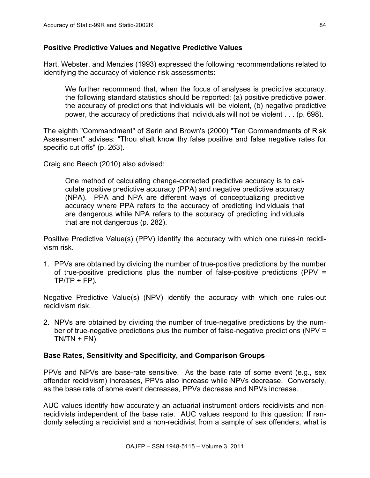#### **Positive Predictive Values and Negative Predictive Values**

Hart, Webster, and Menzies (1993) expressed the following recommendations related to identifying the accuracy of violence risk assessments:

We further recommend that, when the focus of analyses is predictive accuracy, the following standard statistics should be reported: (a) positive predictive power, the accuracy of predictions that individuals will be violent, (b) negative predictive power, the accuracy of predictions that individuals will not be violent . . . (p. 698).

The eighth "Commandment" of Serin and Brown's (2000) "Ten Commandments of Risk Assessment" advises: "Thou shalt know thy false positive and false negative rates for specific cut offs" (p. 263).

Craig and Beech (2010) also advised:

One method of calculating change-corrected predictive accuracy is to calculate positive predictive accuracy (PPA) and negative predictive accuracy (NPA). PPA and NPA are different ways of conceptualizing predictive accuracy where PPA refers to the accuracy of predicting individuals that are dangerous while NPA refers to the accuracy of predicting individuals that are not dangerous (p. 282).

Positive Predictive Value(s) (PPV) identify the accuracy with which one rules-in recidivism risk.

1. PPVs are obtained by dividing the number of true-positive predictions by the number of true-positive predictions plus the number of false-positive predictions (PPV =  $TP/TP + FP$ ).

Negative Predictive Value(s) (NPV) identify the accuracy with which one rules-out recidivism risk.

2. NPVs are obtained by dividing the number of true-negative predictions by the number of true-negative predictions plus the number of false-negative predictions (NPV =  $TN/TN + FN$ ).

## **Base Rates, Sensitivity and Specificity, and Comparison Groups**

PPVs and NPVs are base-rate sensitive. As the base rate of some event (e.g., sex offender recidivism) increases, PPVs also increase while NPVs decrease. Conversely, as the base rate of some event decreases, PPVs decrease and NPVs increase.

AUC values identify how accurately an actuarial instrument orders recidivists and nonrecidivists independent of the base rate. AUC values respond to this question: If randomly selecting a recidivist and a non-recidivist from a sample of sex offenders, what is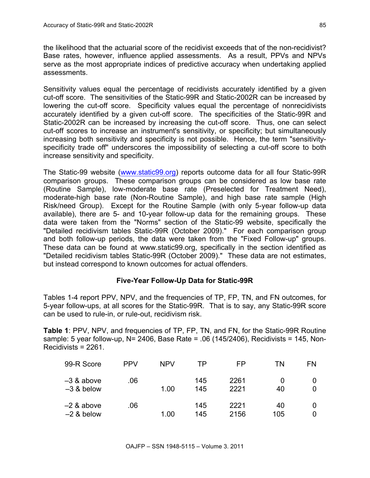the likelihood that the actuarial score of the recidivist exceeds that of the non-recidivist? Base rates, however, influence applied assessments. As a result, PPVs and NPVs serve as the most appropriate indices of predictive accuracy when undertaking applied assessments.

Sensitivity values equal the percentage of recidivists accurately identified by a given cut-off score. The sensitivities of the Static-99R and Static-2002R can be increased by lowering the cut-off score. Specificity values equal the percentage of nonrecidivists accurately identified by a given cut-off score. The specificities of the Static-99R and Static-2002R can be increased by increasing the cut-off score. Thus, one can select cut-off scores to increase an instrument's sensitivity, or specificity; but simultaneously increasing both sensitivity and specificity is not possible. Hence, the term "sensitivityspecificity trade off" underscores the impossibility of selecting a cut-off score to both increase sensitivity and specificity.

The Static-99 website (www.static99.org) reports outcome data for all four Static-99R comparison groups. These comparison groups can be considered as low base rate (Routine Sample), low-moderate base rate (Preselected for Treatment Need), moderate-high base rate (Non-Routine Sample), and high base rate sample (High Risk/need Group). Except for the Routine Sample (with only 5-year follow-up data available), there are 5- and 10-year follow-up data for the remaining groups. These data were taken from the "Norms" section of the Static-99 website, specifically the "Detailed recidivism tables Static-99R (October 2009)." For each comparison group and both follow-up periods, the data were taken from the "Fixed Follow-up" groups. These data can be found at www.static99.org, specifically in the section identified as "Detailed recidivism tables Static-99R (October 2009)." These data are not estimates, but instead correspond to known outcomes for actual offenders.

## **Five-Year Follow-Up Data for Static-99R**

Tables 1-4 report PPV, NPV, and the frequencies of TP, FP, TN, and FN outcomes, for 5-year follow-ups, at all scores for the Static-99R. That is to say, any Static-99R score can be used to rule-in, or rule-out, recidivism risk.

**Table 1**: PPV, NPV, and frequencies of TP, FP, TN, and FN, for the Static-99R Routine sample: 5 year follow-up,  $N = 2406$ , Base Rate = .06 (145/2406), Recidivists = 145, Non-Recidivists = 2261.

| 99-R Score                   | <b>PPV</b> | <b>NPV</b> | ТP         | FP           | ΤN        | FN.    |
|------------------------------|------------|------------|------------|--------------|-----------|--------|
| $-3$ & above<br>$-3$ & below | .06        | 1.00       | 145<br>145 | 2261<br>2221 | 40        | 0<br>0 |
| $-2$ & above<br>$-2$ & below | .06        | 1.00       | 145<br>145 | 2221<br>2156 | 40<br>105 | 0<br>0 |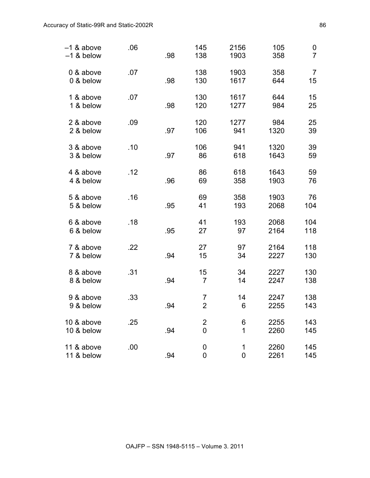| -1 & above<br>$-1$ & below | .06 | .98 | 145<br>138                       | 2156<br>1903               | 105<br>358   | 0<br>$\overline{7}$  |
|----------------------------|-----|-----|----------------------------------|----------------------------|--------------|----------------------|
| 0 & above<br>0 & below     | .07 | .98 | 138<br>130                       | 1903<br>1617               | 358<br>644   | $\overline{7}$<br>15 |
| 1 & above<br>1 & below     | .07 | .98 | 130<br>120                       | 1617<br>1277               | 644<br>984   | 15<br>25             |
| 2 & above<br>2 & below     | .09 | .97 | 120<br>106                       | 1277<br>941                | 984<br>1320  | 25<br>39             |
| 3 & above<br>3 & below     | .10 | .97 | 106<br>86                        | 941<br>618                 | 1320<br>1643 | 39<br>59             |
| 4 & above<br>4 & below     | .12 | .96 | 86<br>69                         | 618<br>358                 | 1643<br>1903 | 59<br>76             |
| 5 & above<br>5 & below     | .16 | .95 | 69<br>41                         | 358<br>193                 | 1903<br>2068 | 76<br>104            |
| 6 & above<br>6 & below     | .18 | .95 | 41<br>27                         | 193<br>97                  | 2068<br>2164 | 104<br>118           |
| 7 & above<br>7 & below     | .22 | .94 | 27<br>15                         | 97<br>34                   | 2164<br>2227 | 118<br>130           |
| 8 & above<br>8 & below     | .31 | .94 | 15<br>$\overline{7}$             | 34<br>14                   | 2227<br>2247 | 130<br>138           |
| 9 & above<br>9 & below     | .33 | .94 | 7<br>$\overline{2}$              | 14<br>6                    | 2247<br>2255 | 138<br>143           |
| 10 & above<br>10 & below   | .25 | .94 | $\overline{2}$<br>$\overline{0}$ | 6<br>1                     | 2255<br>2260 | 143<br>145           |
| 11 & above<br>11 & below   | .00 | .94 | 0<br>$\mathbf 0$                 | $\mathbf 1$<br>$\mathbf 0$ | 2260<br>2261 | 145<br>145           |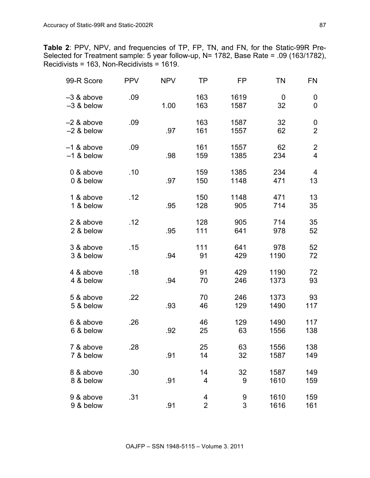**Table 2**: PPV, NPV, and frequencies of TP, FP, TN, and FN, for the Static-99R Pre-Selected for Treatment sample: 5 year follow-up, N= 1782, Base Rate = .09 (163/1782),  $Recidivists = 163$ , Non-Recidivists = 1619.

| 99-R Score                 | <b>PPV</b> | <b>NPV</b> | TP                               | FP           | TN           | FN                               |
|----------------------------|------------|------------|----------------------------------|--------------|--------------|----------------------------------|
| -3 & above<br>$-3$ & below | .09        | 1.00       | 163<br>163                       | 1619<br>1587 | 0<br>32      | 0<br>$\mathbf 0$                 |
| -2 & above<br>$-2$ & below | .09        | .97        | 163<br>161                       | 1587<br>1557 | 32<br>62     | 0<br>$\overline{2}$              |
| -1 & above<br>$-1$ & below | .09        | .98        | 161<br>159                       | 1557<br>1385 | 62<br>234    | $\overline{c}$<br>$\overline{4}$ |
| 0 & above<br>0 & below     | .10        | .97        | 159<br>150                       | 1385<br>1148 | 234<br>471   | 4<br>13                          |
| 1 & above<br>1 & below     | .12        | .95        | 150<br>128                       | 1148<br>905  | 471<br>714   | 13<br>35                         |
| 2 & above<br>2 & below     | .12        | .95        | 128<br>111                       | 905<br>641   | 714<br>978   | 35<br>52                         |
| 3 & above<br>3 & below     | .15        | .94        | 111<br>91                        | 641<br>429   | 978<br>1190  | 52<br>72                         |
| 4 & above<br>4 & below     | .18        | .94        | 91<br>70                         | 429<br>246   | 1190<br>1373 | 72<br>93                         |
| 5 & above<br>5 & below     | .22        | .93        | 70<br>46                         | 246<br>129   | 1373<br>1490 | 93<br>117                        |
| 6 & above<br>6 & below     | .26        | .92        | 46<br>25                         | 129<br>63    | 1490<br>1556 | 117<br>138                       |
| 7 & above<br>7 & below     | .28        | .91        | 25<br>14                         | 63<br>32     | 1556<br>1587 | 138<br>149                       |
| 8 & above<br>8 & below     | .30        | .91        | 14<br>$\overline{4}$             | 32<br>9      | 1587<br>1610 | 149<br>159                       |
| 9 & above<br>9 & below     | .31        | .91        | $\overline{4}$<br>$\overline{2}$ | 9<br>3       | 1610<br>1616 | 159<br>161                       |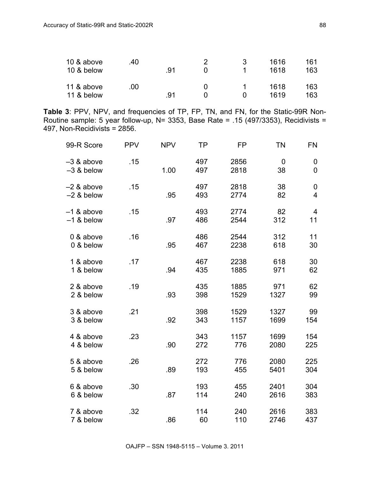| 10 & above | .40 |     |              | 1616 | 161 |
|------------|-----|-----|--------------|------|-----|
| 10 & below |     | .91 |              | 1618 | 163 |
| 11 & above | .00 |     |              | 1618 | 163 |
| 11 & below |     | .91 | $\mathbf{I}$ | 1619 | 163 |

**Table 3**: PPV, NPV, and frequencies of TP, FP, TN, and FN, for the Static-99R Non-Routine sample: 5 year follow-up, N= 3353, Base Rate = .15 (497/3353), Recidivists = 497, Non-Recidivists = 2856.

| 99-R Score                   | <b>PPV</b> | <b>NPV</b> | ΤP         | FP           | <b>TN</b>    | FN                                 |
|------------------------------|------------|------------|------------|--------------|--------------|------------------------------------|
| -3 & above<br>$-3$ & below   | .15        | 1.00       | 497<br>497 | 2856<br>2818 | 0<br>38      | $\boldsymbol{0}$<br>$\overline{0}$ |
| -2 & above<br>$-2$ & below   | .15        | .95        | 497<br>493 | 2818<br>2774 | 38<br>82     | 0<br>$\overline{4}$                |
| $-1$ & above<br>$-1$ & below | .15        | .97        | 493<br>486 | 2774<br>2544 | 82<br>312    | 4<br>11                            |
| 0 & above<br>0 & below       | .16        | .95        | 486<br>467 | 2544<br>2238 | 312<br>618   | 11<br>30                           |
| 1 & above<br>1 & below       | .17        | .94        | 467<br>435 | 2238<br>1885 | 618<br>971   | 30<br>62                           |
| 2 & above<br>2 & below       | .19        | .93        | 435<br>398 | 1885<br>1529 | 971<br>1327  | 62<br>99                           |
| 3 & above<br>3 & below       | .21        | .92        | 398<br>343 | 1529<br>1157 | 1327<br>1699 | 99<br>154                          |
| 4 & above<br>4 & below       | .23        | .90        | 343<br>272 | 1157<br>776  | 1699<br>2080 | 154<br>225                         |
| 5 & above<br>5 & below       | .26        | .89        | 272<br>193 | 776<br>455   | 2080<br>5401 | 225<br>304                         |
| 6 & above<br>6 & below       | .30        | .87        | 193<br>114 | 455<br>240   | 2401<br>2616 | 304<br>383                         |
| 7 & above<br>7 & below       | .32        | .86        | 114<br>60  | 240<br>110   | 2616<br>2746 | 383<br>437                         |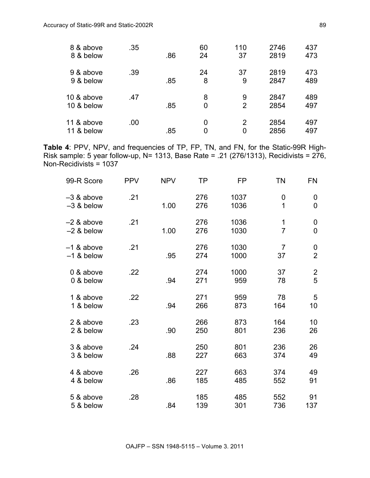| 8 & above<br>8 & below   | .35 | .86 | 60<br>24 | 110<br>37 | 2746<br>2819 | 437<br>473 |
|--------------------------|-----|-----|----------|-----------|--------------|------------|
| 9 & above<br>9 & below   | .39 | .85 | 24<br>8  | 37<br>9   | 2819<br>2847 | 473<br>489 |
| 10 & above<br>10 & below | .47 | .85 | 8<br>0   | 9<br>2    | 2847<br>2854 | 489<br>497 |
| 11 & above<br>11 & below | .00 | .85 | 0<br>0   | 2<br>0    | 2854<br>2856 | 497<br>497 |

**Table 4**: PPV, NPV, and frequencies of TP, FP, TN, and FN, for the Static-99R High-Risk sample: 5 year follow-up, N= 1313, Base Rate = .21 (276/1313), Recidivists = 276, Non-Recidivists = 1037

| 99-R Score                 | <b>PPV</b> | <b>NPV</b> | <b>TP</b>  | <b>FP</b>    | <b>TN</b>            | <b>FN</b>           |
|----------------------------|------------|------------|------------|--------------|----------------------|---------------------|
| -3 & above<br>$-3$ & below | .21        | 1.00       | 276<br>276 | 1037<br>1036 | 0<br>1               | 0<br>$\overline{0}$ |
| -2 & above<br>$-2$ & below | .21        | 1.00       | 276<br>276 | 1036<br>1030 | 1<br>$\overline{7}$  | 0<br>$\overline{0}$ |
| -1 & above<br>$-1$ & below | .21        | .95        | 276<br>274 | 1030<br>1000 | $\overline{7}$<br>37 | 0<br>$\overline{2}$ |
| 0 & above<br>0 & below     | .22        | .94        | 274<br>271 | 1000<br>959  | 37<br>78             | $\overline{2}$<br>5 |
| 1 & above<br>1 & below     | .22        | .94        | 271<br>266 | 959<br>873   | 78<br>164            | 5<br>10             |
| 2 & above<br>2 & below     | .23        | .90        | 266<br>250 | 873<br>801   | 164<br>236           | 10<br>26            |
| 3 & above<br>3 & below     | .24        | .88        | 250<br>227 | 801<br>663   | 236<br>374           | 26<br>49            |
| 4 & above<br>4 & below     | .26        | .86        | 227<br>185 | 663<br>485   | 374<br>552           | 49<br>91            |
| 5 & above<br>5 & below     | .28        | .84        | 185<br>139 | 485<br>301   | 552<br>736           | 91<br>137           |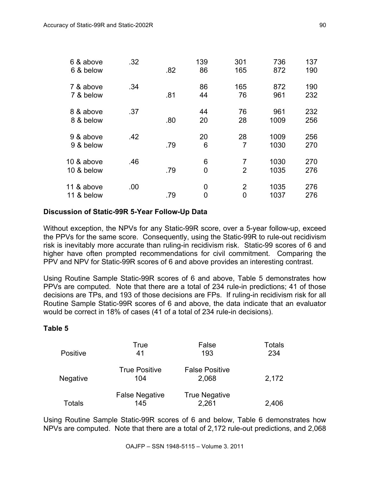| 6 & above<br>6 & below   | .32 | .82 | 139<br>86 | 301<br>165          | 736<br>872   | 137<br>190 |
|--------------------------|-----|-----|-----------|---------------------|--------------|------------|
| 7 & above<br>7 & below   | .34 | .81 | 86<br>44  | 165<br>76           | 872<br>961   | 190<br>232 |
| 8 & above<br>8 & below   | .37 | .80 | 44<br>20  | 76<br>28            | 961<br>1009  | 232<br>256 |
| 9 & above<br>9 & below   | .42 | .79 | 20<br>6   | 28<br>7             | 1009<br>1030 | 256<br>270 |
| 10 & above<br>10 & below | .46 | .79 | 6<br>0    | 7<br>$\overline{2}$ | 1030<br>1035 | 270<br>276 |
| 11 & above<br>11 & below | .00 | .79 | 0<br>0    | $\overline{2}$<br>0 | 1035<br>1037 | 276<br>276 |

#### **Discussion of Static-99R 5-Year Follow-Up Data**

Without exception, the NPVs for any Static-99R score, over a 5-year follow-up, exceed the PPVs for the same score. Consequently, using the Static-99R to rule-out recidivism risk is inevitably more accurate than ruling-in recidivism risk. Static-99 scores of 6 and higher have often prompted recommendations for civil commitment. Comparing the PPV and NPV for Static-99R scores of 6 and above provides an interesting contrast.

Using Routine Sample Static-99R scores of 6 and above, Table 5 demonstrates how PPVs are computed. Note that there are a total of 234 rule-in predictions; 41 of those decisions are TPs, and 193 of those decisions are FPs. If ruling-in recidivism risk for all Routine Sample Static-99R scores of 6 and above, the data indicate that an evaluator would be correct in 18% of cases (41 of a total of 234 rule-in decisions).

## **Table 5**

| <b>Positive</b> | True<br>41                   | False<br>193                   | Totals<br>234 |
|-----------------|------------------------------|--------------------------------|---------------|
| <b>Negative</b> | <b>True Positive</b><br>104  | <b>False Positive</b><br>2,068 | 2,172         |
| <b>Totals</b>   | <b>False Negative</b><br>145 | <b>True Negative</b><br>2,261  | 2,406         |

Using Routine Sample Static-99R scores of 6 and below, Table 6 demonstrates how NPVs are computed. Note that there are a total of 2,172 rule-out predictions, and 2,068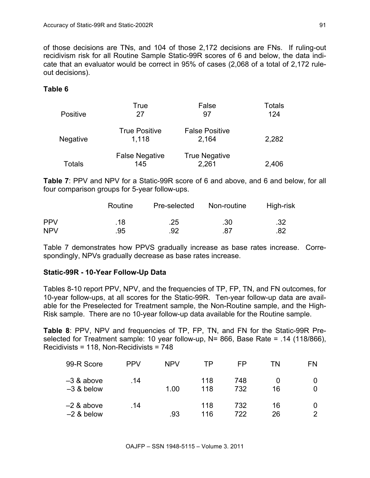of those decisions are TNs, and 104 of those 2,172 decisions are FNs. If ruling-out recidivism risk for all Routine Sample Static-99R scores of 6 and below, the data indicate that an evaluator would be correct in 95% of cases (2,068 of a total of 2,172 ruleout decisions).

#### **Table 6**

| <b>Positive</b> | True<br>27                    | False<br>97                    | Totals<br>124 |
|-----------------|-------------------------------|--------------------------------|---------------|
| <b>Negative</b> | <b>True Positive</b><br>1.118 | <b>False Positive</b><br>2.164 | 2,282         |
| Totals          | <b>False Negative</b><br>145  | <b>True Negative</b><br>2,261  | 2,406         |

**Table 7**: PPV and NPV for a Static-99R score of 6 and above, and 6 and below, for all four comparison groups for 5-year follow-ups.

|            | Routine | Pre-selected | Non-routine | High-risk |
|------------|---------|--------------|-------------|-----------|
| <b>PPV</b> | .18     | .25          | .30         | .32       |
| <b>NPV</b> | .95     | .92          | .87         | .82       |

Table 7 demonstrates how PPVS gradually increase as base rates increase. Correspondingly, NPVs gradually decrease as base rates increase.

#### **Static-99R - 10-Year Follow-Up Data**

Tables 8-10 report PPV, NPV, and the frequencies of TP, FP, TN, and FN outcomes, for 10-year follow-ups, at all scores for the Static-99R. Ten-year follow-up data are available for the Preselected for Treatment sample, the Non-Routine sample, and the High-Risk sample. There are no 10-year follow-up data available for the Routine sample.

**Table 8**: PPV, NPV and frequencies of TP, FP, TN, and FN for the Static-99R Preselected for Treatment sample: 10 year follow-up, N= 866, Base Rate = .14 (118/866), Recidivists = 118, Non-Recidivists = 748

| 99-R Score                   | <b>PPV</b> | <b>NPV</b> | TP         | FP         | ΤN       | FN                  |
|------------------------------|------------|------------|------------|------------|----------|---------------------|
| -3 & above<br>$-3$ & below   | .14        | 1.00       | 118<br>118 | 748<br>732 | 16       | 0<br>0              |
| $-2$ & above<br>$-2$ & below | .14        | .93        | 118<br>116 | 732<br>722 | 16<br>26 | 0<br>$\overline{2}$ |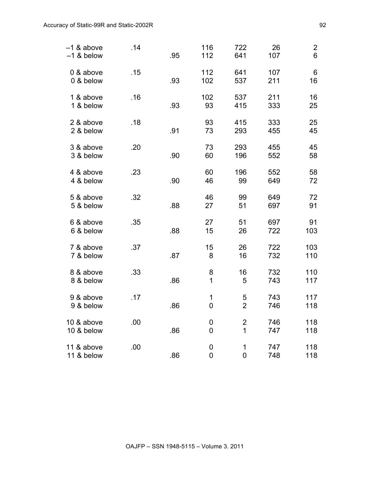| -1 & above<br>$-1$ & below | .14 | .95 | 116<br>112       | 722<br>641                                | 26<br>107  | $\overline{2}$<br>6 |
|----------------------------|-----|-----|------------------|-------------------------------------------|------------|---------------------|
| 0 & above<br>0 & below     | .15 | .93 | 112<br>102       | 641<br>537                                | 107<br>211 | 6<br>16             |
| 1 & above<br>1 & below     | .16 | .93 | 102<br>93        | 537<br>415                                | 211<br>333 | 16<br>25            |
| 2 & above<br>2 & below     | .18 | .91 | 93<br>73         | 415<br>293                                | 333<br>455 | 25<br>45            |
| 3 & above<br>3 & below     | .20 | .90 | 73<br>60         | 293<br>196                                | 455<br>552 | 45<br>58            |
| 4 & above<br>4 & below     | .23 | .90 | 60<br>46         | 196<br>99                                 | 552<br>649 | 58<br>72            |
| 5 & above<br>5 & below     | .32 | .88 | 46<br>27         | 99<br>51                                  | 649<br>697 | 72<br>91            |
| 6 & above<br>6 & below     | .35 | .88 | 27<br>15         | 51<br>26                                  | 697<br>722 | 91<br>103           |
| 7 & above<br>7 & below     | .37 | .87 | 15<br>8          | 26<br>16                                  | 722<br>732 | 103<br>110          |
| 8 & above<br>8 & below     | .33 | .86 | 8<br>1           | 16<br>5                                   | 732<br>743 | 110<br>117          |
| 9 & above<br>9 & below     | .17 | .86 | 1<br>$\mathbf 0$ | 5<br>$\overline{2}$                       | 743<br>746 | 117<br>118          |
| 10 & above<br>10 & below   | .00 | .86 | 0<br>0           | $\overline{\mathbf{c}}$<br>$\overline{1}$ | 746<br>747 | 118<br>118          |
| 11 & above<br>11 & below   | .00 | .86 | 0<br>0           | $\mathbf 1$<br>$\overline{0}$             | 747<br>748 | 118<br>118          |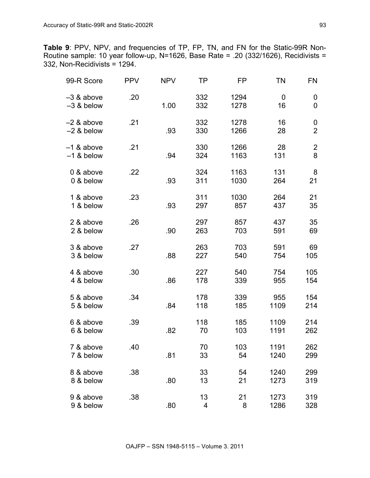**Table 9**: PPV, NPV, and frequencies of TP, FP, TN, and FN for the Static-99R Non-Routine sample: 10 year follow-up, N=1626, Base Rate = .20 (332/1626), Recidivists = 332, Non-Recidivists = 1294.

| 99-R Score                 | <b>PPV</b> | <b>NPV</b> | TP         | FP           | ΤN           | FN                  |
|----------------------------|------------|------------|------------|--------------|--------------|---------------------|
| -3 & above<br>$-3$ & below | .20        | 1.00       | 332<br>332 | 1294<br>1278 | 0<br>16      | 0<br>$\mathbf 0$    |
| -2 & above<br>$-2$ & below | .21        | .93        | 332<br>330 | 1278<br>1266 | 16<br>28     | 0<br>$\overline{2}$ |
| -1 & above<br>$-1$ & below | .21        | .94        | 330<br>324 | 1266<br>1163 | 28<br>131    | $\overline{2}$<br>8 |
| 0 & above<br>0 & below     | .22        | .93        | 324<br>311 | 1163<br>1030 | 131<br>264   | 8<br>21             |
| 1 & above<br>1 & below     | .23        | .93        | 311<br>297 | 1030<br>857  | 264<br>437   | 21<br>35            |
| 2 & above<br>2 & below     | .26        | .90        | 297<br>263 | 857<br>703   | 437<br>591   | 35<br>69            |
| 3 & above<br>3 & below     | .27        | .88        | 263<br>227 | 703<br>540   | 591<br>754   | 69<br>105           |
| 4 & above<br>4 & below     | .30        | .86        | 227<br>178 | 540<br>339   | 754<br>955   | 105<br>154          |
| 5 & above<br>5 & below     | .34        | .84        | 178<br>118 | 339<br>185   | 955<br>1109  | 154<br>214          |
| 6 & above<br>6 & below     | .39        | .82        | 118<br>70  | 185<br>103   | 1109<br>1191 | 214<br>262          |
| 7 & above<br>7 & below     | .40        | .81        | 70<br>33   | 103<br>54    | 1191<br>1240 | 262<br>299          |
| 8 & above<br>8 & below     | .38        | .80        | 33<br>13   | 54<br>21     | 1240<br>1273 | 299<br>319          |
| 9 & above<br>9 & below     | .38        | .80        | 13<br>4    | 21<br>8      | 1273<br>1286 | 319<br>328          |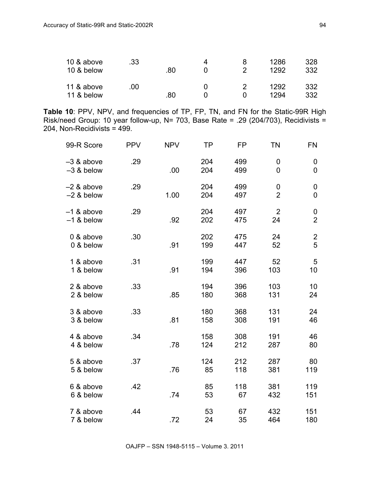| 10 & above<br>10 & below | .33 | 80 |  | 1286<br>1292 | 328<br>332 |
|--------------------------|-----|----|--|--------------|------------|
| 11 & above<br>11 & below | .00 | 80 |  | 1292<br>1294 | 332<br>332 |

**Table 10**: PPV, NPV, and frequencies of TP, FP, TN, and FN for the Static-99R High Risk/need Group: 10 year follow-up, N= 703, Base Rate = .29 (204/703), Recidivists = 204, Non-Recidivists = 499.

| 99-R Score                 | <b>PPV</b> | <b>NPV</b> | TP         | FP         | <b>TN</b>                     | FN                                 |
|----------------------------|------------|------------|------------|------------|-------------------------------|------------------------------------|
| -3 & above<br>$-3$ & below | .29        | .00        | 204<br>204 | 499<br>499 | 0<br>$\overline{0}$           | 0<br>$\overline{0}$                |
| -2 & above<br>$-2$ & below | .29        | 1.00       | 204<br>204 | 499<br>497 | $\mathbf 0$<br>$\overline{2}$ | 0<br>$\overline{0}$                |
| -1 & above<br>$-1$ & below | .29        | .92        | 204<br>202 | 497<br>475 | $\overline{2}$<br>24          | $\boldsymbol{0}$<br>$\overline{2}$ |
| 0 & above<br>0 & below     | .30        | .91        | 202<br>199 | 475<br>447 | 24<br>52                      | $\frac{2}{5}$                      |
| 1 & above<br>1 & below     | .31        | .91        | 199<br>194 | 447<br>396 | 52<br>103                     | 5<br>10                            |
| 2 & above<br>2 & below     | .33        | .85        | 194<br>180 | 396<br>368 | 103<br>131                    | 10<br>24                           |
| 3 & above<br>3 & below     | .33        | .81        | 180<br>158 | 368<br>308 | 131<br>191                    | 24<br>46                           |
| 4 & above<br>4 & below     | .34        | .78        | 158<br>124 | 308<br>212 | 191<br>287                    | 46<br>80                           |
| 5 & above<br>5 & below     | .37        | .76        | 124<br>85  | 212<br>118 | 287<br>381                    | 80<br>119                          |
| 6 & above<br>6 & below     | .42        | .74        | 85<br>53   | 118<br>67  | 381<br>432                    | 119<br>151                         |
| 7 & above<br>7 & below     | .44        | .72        | 53<br>24   | 67<br>35   | 432<br>464                    | 151<br>180                         |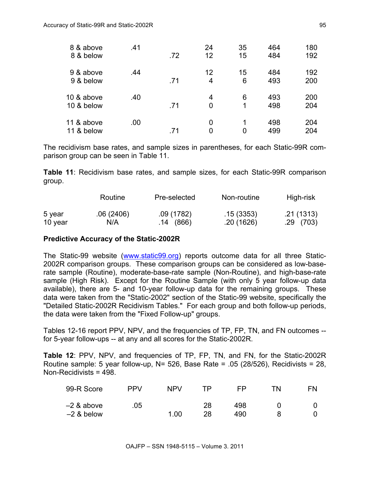| 8 & above<br>8 & below   | .41 | .72 | 24<br>12             | 35<br>15 | 464<br>484 | 180<br>192 |
|--------------------------|-----|-----|----------------------|----------|------------|------------|
| 9 & above<br>9 & below   | .44 | .71 | 12<br>$\overline{4}$ | 15<br>6  | 484<br>493 | 192<br>200 |
| 10 & above<br>10 & below | .40 | .71 | 4<br>0               | 6<br>1   | 493<br>498 | 200<br>204 |
| 11 & above<br>11 & below | .00 | .71 | 0<br>0               | 1<br>0   | 498<br>499 | 204<br>204 |

The recidivism base rates, and sample sizes in parentheses, for each Static-99R comparison group can be seen in Table 11.

**Table 11**: Recidivism base rates, and sample sizes, for each Static-99R comparison group.

|         | Routine   | Pre-selected | Non-routine | High-risk  |
|---------|-----------|--------------|-------------|------------|
| 5 year  | .06(2406) | .09(1782)    | .15(3353)   | .21 (1313) |
| 10 year | N/A       | .14 (866)    | .20(1626)   | .29(703)   |

#### **Predictive Accuracy of the Static-2002R**

The Static-99 website (www.static99.org) reports outcome data for all three Static-2002R comparison groups. These comparison groups can be considered as low-baserate sample (Routine), moderate-base-rate sample (Non-Routine), and high-base-rate sample (High Risk). Except for the Routine Sample (with only 5 year follow-up data available), there are 5- and 10-year follow-up data for the remaining groups. These data were taken from the "Static-2002" section of the Static-99 website, specifically the "Detailed Static-2002R Recidivism Tables." For each group and both follow-up periods, the data were taken from the "Fixed Follow-up" groups.

Tables 12-16 report PPV, NPV, and the frequencies of TP, FP, TN, and FN outcomes - for 5-year follow-ups -- at any and all scores for the Static-2002R.

**Table 12**: PPV, NPV, and frequencies of TP, FP, TN, and FN, for the Static-2002R Routine sample: 5 year follow-up,  $N = 526$ , Base Rate = .05 (28/526), Recidivists = 28, Non-Recidivists = 498.

| 99-R Score                   | PP <sub>V</sub> | NPV  | ΤP       | FP         | ΤN | ΕN |
|------------------------------|-----------------|------|----------|------------|----|----|
| $-2$ & above<br>$-2$ & below | 05              | 1.00 | 28<br>28 | 498<br>490 |    |    |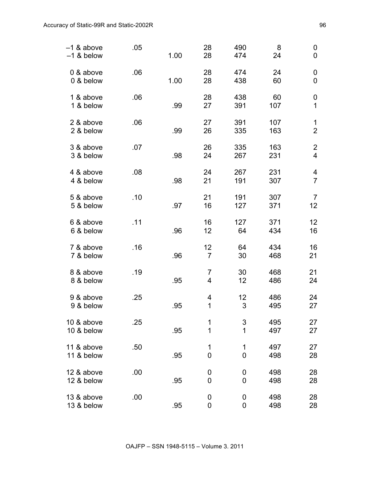| $-1$ & above<br>$-1$ & below | .05 | 1.00 | 28<br>28             | 490<br>474       | 8<br>24    | $\boldsymbol{0}$<br>0            |
|------------------------------|-----|------|----------------------|------------------|------------|----------------------------------|
| 0 & above<br>0 & below       | .06 | 1.00 | 28<br>28             | 474<br>438       | 24<br>60   | 0<br>$\mathbf 0$                 |
| 1 & above<br>1 & below       | .06 | .99  | 28<br>27             | 438<br>391       | 60<br>107  | 0<br>1                           |
| 2 & above<br>2 & below       | .06 | .99  | 27<br>26             | 391<br>335       | 107<br>163 | 1<br>$\overline{2}$              |
| 3 & above<br>3 & below       | .07 | .98  | 26<br>24             | 335<br>267       | 163<br>231 | $\overline{c}$<br>$\overline{4}$ |
| 4 & above<br>4 & below       | .08 | .98  | 24<br>21             | 267<br>191       | 231<br>307 | 4<br>$\overline{7}$              |
| 5 & above<br>5 & below       | .10 | .97  | 21<br>16             | 191<br>127       | 307<br>371 | $\overline{7}$<br>12             |
| 6 & above<br>6 & below       | .11 | .96  | 16<br>12             | 127<br>64        | 371<br>434 | 12<br>16                         |
| 7 & above<br>7 & below       | .16 | .96  | 12<br>$\overline{7}$ | 64<br>30         | 434<br>468 | 16<br>21                         |
| 8 & above<br>8 & below       | .19 | .95  | 7<br>4               | 30<br>12         | 468<br>486 | 21<br>24                         |
| 9 & above<br>9 & below       | .25 | .95  | 4<br>1               | 12<br>3          | 486<br>495 | 24<br>27                         |
| 10 & above<br>10 & below     | .25 | .95  | 1<br>1               | 3<br>1           | 495<br>497 | 27<br>27                         |
| 11 & above<br>11 & below     | .50 | .95  | 1<br>$\mathbf{0}$    | 1<br>$\mathbf 0$ | 497<br>498 | 27<br>28                         |
| 12 & above<br>12 & below     | .00 | .95  | 0<br>$\mathbf 0$     | 0<br>$\mathbf 0$ | 498<br>498 | 28<br>28                         |
| 13 & above<br>13 & below     | .00 | .95  | $\mathbf 0$<br>0     | 0<br>0           | 498<br>498 | 28<br>28                         |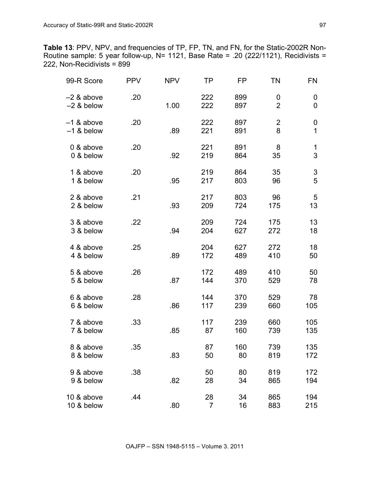**Table 13**: PPV, NPV, and frequencies of TP, FP, TN, and FN, for the Static-2002R Non-Routine sample: 5 year follow-up, N= 1121, Base Rate = .20 (222/1121), Recidivists = 222, Non-Recidivists = 899

| 99-R Score                 | <b>PPV</b> | <b>NPV</b> | ΤP                   | FP         | TN                  | FN                    |
|----------------------------|------------|------------|----------------------|------------|---------------------|-----------------------|
| -2 & above<br>$-2$ & below | .20        | 1.00       | 222<br>222           | 899<br>897 | 0<br>$\overline{2}$ | 0<br>0                |
| -1 & above<br>$-1$ & below | .20        | .89        | 222<br>221           | 897<br>891 | $\overline{2}$<br>8 | $\boldsymbol{0}$<br>1 |
| 0 & above<br>0 & below     | .20        | .92        | 221<br>219           | 891<br>864 | 8<br>35             | 1<br>3                |
| 1 & above<br>1 & below     | .20        | .95        | 219<br>217           | 864<br>803 | 35<br>96            | 3<br>5                |
| 2 & above<br>2 & below     | .21        | .93        | 217<br>209           | 803<br>724 | 96<br>175           | 5<br>13               |
| 3 & above<br>3 & below     | .22        | .94        | 209<br>204           | 724<br>627 | 175<br>272          | 13<br>18              |
| 4 & above<br>4 & below     | .25        | .89        | 204<br>172           | 627<br>489 | 272<br>410          | 18<br>50              |
| 5 & above<br>5 & below     | .26        | .87        | 172<br>144           | 489<br>370 | 410<br>529          | 50<br>78              |
| 6 & above<br>6 & below     | .28        | .86        | 144<br>117           | 370<br>239 | 529<br>660          | 78<br>105             |
| 7 & above<br>7 & below     | .33        | .85        | 117<br>87            | 239<br>160 | 660<br>739          | 105<br>135            |
| 8 & above<br>8 & below     | .35        | .83        | 87<br>50             | 160<br>80  | 739<br>819          | 135<br>172            |
| 9 & above<br>9 & below     | .38        | .82        | 50<br>28             | 80<br>34   | 819<br>865          | 172<br>194            |
| 10 & above<br>10 & below   | .44        | .80        | 28<br>$\overline{7}$ | 34<br>16   | 865<br>883          | 194<br>215            |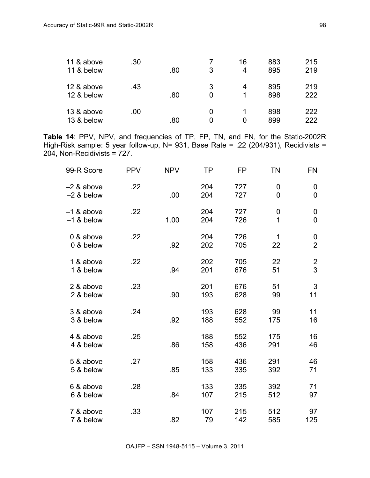| 11 & above<br>11 & below | .30 | .80 | 3      | 16<br>4 | 883<br>895 | 215<br>219 |
|--------------------------|-----|-----|--------|---------|------------|------------|
| 12 & above<br>12 & below | .43 | .80 | 3<br>0 | 4<br>1  | 895<br>898 | 219<br>222 |
| 13 & above<br>13 & below | .00 | .80 | 0      | 1<br>0  | 898<br>899 | 222<br>222 |

**Table 14**: PPV, NPV, and frequencies of TP, FP, TN, and FN, for the Static-2002R High-Risk sample: 5 year follow-up, N= 931, Base Rate = .22 (204/931), Recidivists = 204, Non-Recidivists = 727.

| 99-R Score                 | <b>PPV</b> | <b>NPV</b> | ΤP         | FP         | <b>TN</b>  | FN                           |
|----------------------------|------------|------------|------------|------------|------------|------------------------------|
| -2 & above<br>$-2$ & below | .22        | .00        | 204<br>204 | 727<br>727 | 0<br>0     | 0<br>$\overline{0}$          |
| -1 & above<br>$-1$ & below | .22        | 1.00       | 204<br>204 | 727<br>726 | 0<br>1     | 0<br>0                       |
| 0 & above<br>0 & below     | .22        | .92        | 204<br>202 | 726<br>705 | 1<br>22    | 0<br>$\overline{2}$          |
| 1 & above<br>1 & below     | .22        | .94        | 202<br>201 | 705<br>676 | 22<br>51   | $\overline{\mathbf{c}}$<br>3 |
| 2 & above<br>2 & below     | .23        | .90        | 201<br>193 | 676<br>628 | 51<br>99   | 3<br>11                      |
| 3 & above<br>3 & below     | .24        | .92        | 193<br>188 | 628<br>552 | 99<br>175  | 11<br>16                     |
| 4 & above<br>4 & below     | .25        | .86        | 188<br>158 | 552<br>436 | 175<br>291 | 16<br>46                     |
| 5 & above<br>5 & below     | .27        | .85        | 158<br>133 | 436<br>335 | 291<br>392 | 46<br>71                     |
| 6 & above<br>6 & below     | .28        | .84        | 133<br>107 | 335<br>215 | 392<br>512 | 71<br>97                     |
| 7 & above<br>7 & below     | .33        | .82        | 107<br>79  | 215<br>142 | 512<br>585 | 97<br>125                    |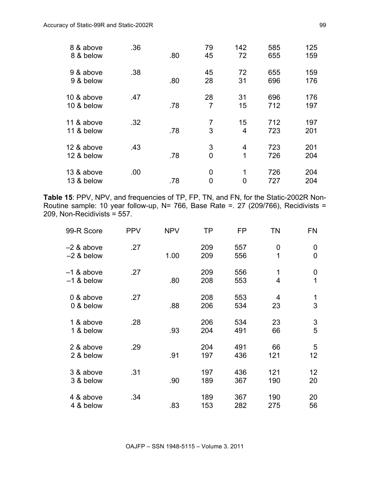| 8 & above<br>8 & below   | .36 | .80 | 79<br>45             | 142<br>72            | 585<br>655 | 125<br>159 |
|--------------------------|-----|-----|----------------------|----------------------|------------|------------|
| 9 & above<br>9 & below   | .38 | .80 | 45<br>28             | 72<br>31             | 655<br>696 | 159<br>176 |
| 10 & above<br>10 & below | .47 | .78 | 28<br>$\overline{7}$ | 31<br>15             | 696<br>712 | 176<br>197 |
| 11 & above<br>11 & below | .32 | .78 | $\overline{7}$<br>3  | 15<br>$\overline{4}$ | 712<br>723 | 197<br>201 |
| 12 & above<br>12 & below | .43 | .78 | 3<br>0               | 4<br>1               | 723<br>726 | 201<br>204 |
| 13 & above<br>13 & below | .00 | .78 | 0<br>0               | 1<br>0               | 726<br>727 | 204<br>204 |

**Table 15**: PPV, NPV, and frequencies of TP, FP, TN, and FN, for the Static-2002R Non-Routine sample: 10 year follow-up, N= 766, Base Rate =. 27 (209/766), Recidivists = 209, Non-Recidivists = 557.

| 99-R Score                 | <b>PPV</b> | <b>NPV</b> | TP         | <b>FP</b>  | ΤN                           | FN                  |
|----------------------------|------------|------------|------------|------------|------------------------------|---------------------|
| -2 & above<br>$-2$ & below | .27        | 1.00       | 209<br>209 | 557<br>556 | 0<br>1                       | 0<br>$\overline{0}$ |
| -1 & above<br>$-1$ & below | .27        | .80        | 209<br>208 | 556<br>553 | 1<br>$\overline{\mathbf{4}}$ | 0<br>1              |
| 0 & above<br>0 & below     | .27        | .88        | 208<br>206 | 553<br>534 | 4<br>23                      | 1<br>3              |
| 1 & above<br>1 & below     | .28        | .93        | 206<br>204 | 534<br>491 | 23<br>66                     | 3<br>5              |
| 2 & above<br>2 & below     | .29        | .91        | 204<br>197 | 491<br>436 | 66<br>121                    | 5<br>12             |
| 3 & above<br>3 & below     | .31        | .90        | 197<br>189 | 436<br>367 | 121<br>190                   | 12<br>20            |
| 4 & above<br>4 & below     | .34        | .83        | 189<br>153 | 367<br>282 | 190<br>275                   | 20<br>56            |

OAJFP – SSN 1948-5115 – Volume 3. 2011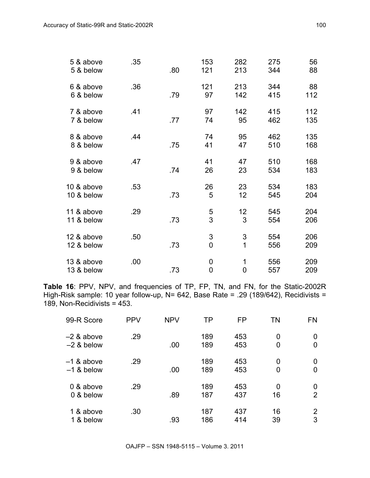| 5 & above<br>5 & below   | .35 | .80 | 153<br>121                                  | 282<br>213          | 275<br>344 | 56<br>88   |
|--------------------------|-----|-----|---------------------------------------------|---------------------|------------|------------|
| 6 & above<br>6 & below   | .36 | .79 | 121<br>97                                   | 213<br>142          | 344<br>415 | 88<br>112  |
| 7 & above<br>7 & below   | .41 | .77 | 97<br>74                                    | 142<br>95           | 415<br>462 | 112<br>135 |
| 8 & above<br>8 & below   | .44 | .75 | 74<br>41                                    | 95<br>47            | 462<br>510 | 135<br>168 |
| 9 & above<br>9 & below   | .47 | .74 | 41<br>26                                    | 47<br>23            | 510<br>534 | 168<br>183 |
| 10 & above<br>10 & below | .53 | .73 | 26<br>5                                     | 23<br>12            | 534<br>545 | 183<br>204 |
| 11 & above<br>11 & below | .29 | .73 | 5<br>3                                      | 12<br>3             | 545<br>554 | 204<br>206 |
| 12 & above<br>12 & below | .50 | .73 | $\ensuremath{\mathsf{3}}$<br>$\overline{0}$ | 3<br>$\overline{1}$ | 554<br>556 | 206<br>209 |
| 13 & above<br>13 & below | .00 | .73 | $\mathbf 0$<br>$\overline{0}$               | 1<br>$\overline{0}$ | 556<br>557 | 209<br>209 |

**Table 16**: PPV, NPV, and frequencies of TP, FP, TN, and FN, for the Static-2002R High-Risk sample: 10 year follow-up, N= 642, Base Rate = .29 (189/642), Recidivists = 189, Non-Recidivists = 453.

| 99-R Score                 | <b>PPV</b> | <b>NPV</b> | ТP         | FP         | TN       | <b>FN</b> |
|----------------------------|------------|------------|------------|------------|----------|-----------|
| -2 & above<br>$-2$ & below | .29        | .00        | 189<br>189 | 453<br>453 | 0<br>0   | 0<br>0    |
| –1 & above<br>$-1$ & below | .29        | .00        | 189<br>189 | 453<br>453 | 0<br>0   | 0<br>0    |
| 0 & above<br>0 & below     | .29        | .89        | 189<br>187 | 453<br>437 | 0<br>16  | 0<br>2    |
| 1 & above<br>1 & below     | .30        | .93        | 187<br>186 | 437<br>414 | 16<br>39 | 2<br>3    |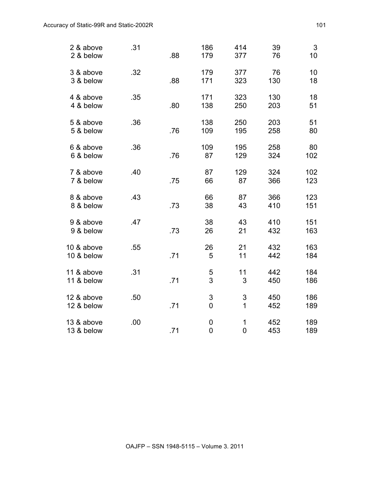| 2 & above<br>2 & below   | .31 | .88 | 186<br>179                 | 414<br>377                    | 39<br>76   | 3<br>10    |
|--------------------------|-----|-----|----------------------------|-------------------------------|------------|------------|
| 3 & above<br>3 & below   | .32 | .88 | 179<br>171                 | 377<br>323                    | 76<br>130  | 10<br>18   |
| 4 & above<br>4 & below   | .35 | .80 | 171<br>138                 | 323<br>250                    | 130<br>203 | 18<br>51   |
| 5 & above<br>5 & below   | .36 | .76 | 138<br>109                 | 250<br>195                    | 203<br>258 | 51<br>80   |
| 6 & above<br>6 & below   | .36 | .76 | 109<br>87                  | 195<br>129                    | 258<br>324 | 80<br>102  |
| 7 & above<br>7 & below   | .40 | .75 | 87<br>66                   | 129<br>87                     | 324<br>366 | 102<br>123 |
| 8 & above<br>8 & below   | .43 | .73 | 66<br>38                   | 87<br>43                      | 366<br>410 | 123<br>151 |
| 9 & above<br>9 & below   | .47 | .73 | 38<br>26                   | 43<br>21                      | 410<br>432 | 151<br>163 |
| 10 & above<br>10 & below | .55 | .71 | 26<br>5                    | 21<br>11                      | 432<br>442 | 163<br>184 |
| 11 & above<br>11 & below | .31 | .71 | $\mathbf 5$<br>3           | 11<br>3                       | 442<br>450 | 184<br>186 |
| 12 & above<br>12 & below | .50 | .71 | 3<br>$\mathbf 0$           | 3<br>1                        | 450<br>452 | 186<br>189 |
| 13 & above<br>13 & below | .00 | .71 | $\mathbf 0$<br>$\mathbf 0$ | $\mathbf 1$<br>$\overline{0}$ | 452<br>453 | 189<br>189 |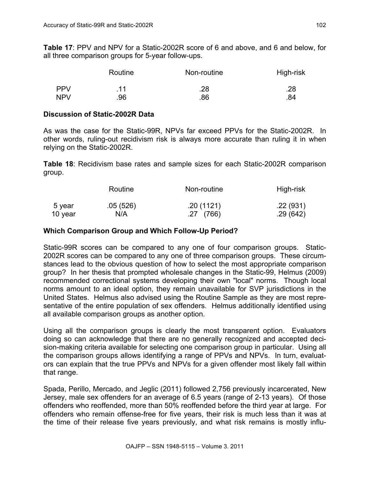**Table 17**: PPV and NPV for a Static-2002R score of 6 and above, and 6 and below, for all three comparison groups for 5-year follow-ups.

| Routine    |     | Non-routine | High-risk |  |
|------------|-----|-------------|-----------|--|
| <b>PPV</b> | .11 | .28         | .28       |  |
| <b>NPV</b> | .96 | .86         | .84       |  |

#### **Discussion of Static-2002R Data**

As was the case for the Static-99R, NPVs far exceed PPVs for the Static-2002R. In other words, ruling-out recidivism risk is always more accurate than ruling it in when relying on the Static-2002R.

**Table 18**: Recidivism base rates and sample sizes for each Static-2002R comparison group.

|         | Routine  | Non-routine | High-risk |  |
|---------|----------|-------------|-----------|--|
| 5 year  | .05(526) | .20(1121)   | .22(931)  |  |
| 10 year | N/A      | .27(766)    | .29 (642) |  |

## **Which Comparison Group and Which Follow-Up Period?**

Static-99R scores can be compared to any one of four comparison groups. Static-2002R scores can be compared to any one of three comparison groups. These circumstances lead to the obvious question of how to select the most appropriate comparison group? In her thesis that prompted wholesale changes in the Static-99, Helmus (2009) recommended correctional systems developing their own "local" norms. Though local norms amount to an ideal option, they remain unavailable for SVP jurisdictions in the United States. Helmus also advised using the Routine Sample as they are most representative of the entire population of sex offenders. Helmus additionally identified using all available comparison groups as another option.

Using all the comparison groups is clearly the most transparent option. Evaluators doing so can acknowledge that there are no generally recognized and accepted decision-making criteria available for selecting one comparison group in particular. Using all the comparison groups allows identifying a range of PPVs and NPVs. In turn, evaluators can explain that the true PPVs and NPVs for a given offender most likely fall within that range.

Spada, Perillo, Mercado, and Jeglic (2011) followed 2,756 previously incarcerated, New Jersey, male sex offenders for an average of 6.5 years (range of 2-13 years). Of those offenders who reoffended, more than 50% reoffended before the third year at large. For offenders who remain offense-free for five years, their risk is much less than it was at the time of their release five years previously, and what risk remains is mostly influ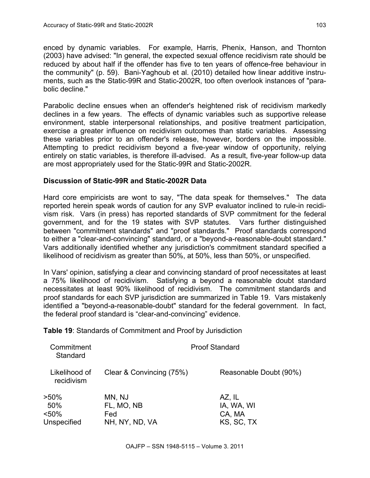enced by dynamic variables. For example, Harris, Phenix, Hanson, and Thornton (2003) have advised: "In general, the expected sexual offence recidivism rate should be reduced by about half if the offender has five to ten years of offence-free behaviour in the community" (p. 59). Bani-Yaghoub et al. (2010) detailed how linear additive instruments, such as the Static-99R and Static-2002R, too often overlook instances of "parabolic decline."

Parabolic decline ensues when an offender's heightened risk of recidivism markedly declines in a few years. The effects of dynamic variables such as supportive release environment, stable interpersonal relationships, and positive treatment participation, exercise a greater influence on recidivism outcomes than static variables. Assessing these variables prior to an offender's release, however, borders on the impossible. Attempting to predict recidivism beyond a five-year window of opportunity, relying entirely on static variables, is therefore ill-advised. As a result, five-year follow-up data are most appropriately used for the Static-99R and Static-2002R.

## **Discussion of Static-99R and Static-2002R Data**

Hard core empiricists are wont to say, "The data speak for themselves." The data reported herein speak words of caution for any SVP evaluator inclined to rule-in recidivism risk. Vars (in press) has reported standards of SVP commitment for the federal government, and for the 19 states with SVP statutes. Vars further distinguished between "commitment standards" and "proof standards." Proof standards correspond to either a "clear-and-convincing" standard, or a "beyond-a-reasonable-doubt standard." Vars additionally identified whether any jurisdiction's commitment standard specified a likelihood of recidivism as greater than 50%, at 50%, less than 50%, or unspecified.

In Vars' opinion, satisfying a clear and convincing standard of proof necessitates at least a 75% likelihood of recidivism. Satisfying a beyond a reasonable doubt standard necessitates at least 90% likelihood of recidivism. The commitment standards and proof standards for each SVP jurisdiction are summarized in Table 19. Vars mistakenly identified a "beyond-a-reasonable-doubt" standard for the federal government. In fact, the federal proof standard is "clear-and-convincing" evidence.

**Table 19**: Standards of Commitment and Proof by Jurisdiction

| Commitment<br>Standard             | <b>Proof Standard</b>                         |                                              |  |
|------------------------------------|-----------------------------------------------|----------------------------------------------|--|
| Likelihood of<br>recidivism        | Clear & Convincing (75%)                      | Reasonable Doubt (90%)                       |  |
| >50%<br>50%<br><50%<br>Unspecified | MN, NJ<br>FL, MO, NB<br>Fed<br>NH, NY, ND, VA | AZ, IL<br>IA, WA, WI<br>CA, MA<br>KS, SC, TX |  |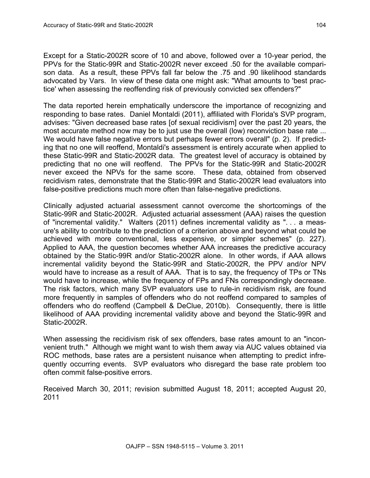Except for a Static-2002R score of 10 and above, followed over a 10-year period, the PPVs for the Static-99R and Static-2002R never exceed .50 for the available comparison data. As a result, these PPVs fall far below the .75 and .90 likelihood standards advocated by Vars. In view of these data one might ask: "What amounts to 'best practice' when assessing the reoffending risk of previously convicted sex offenders?"

The data reported herein emphatically underscore the importance of recognizing and responding to base rates. Daniel Montaldi (2011), affiliated with Florida's SVP program, advises: "Given decreased base rates [of sexual recidivism] over the past 20 years, the most accurate method now may be to just use the overall (low) reconviction base rate ... We would have false negative errors but perhaps fewer errors overall" (p. 2). If predicting that no one will reoffend, Montaldi's assessment is entirely accurate when applied to these Static-99R and Static-2002R data. The greatest level of accuracy is obtained by predicting that no one will reoffend. The PPVs for the Static-99R and Static-2002R never exceed the NPVs for the same score. These data, obtained from observed recidivism rates, demonstrate that the Static-99R and Static-2002R lead evaluators into false-positive predictions much more often than false-negative predictions.

Clinically adjusted actuarial assessment cannot overcome the shortcomings of the Static-99R and Static-2002R. Adjusted actuarial assessment (AAA) raises the question of "incremental validity." Walters (2011) defines incremental validity as ". . . a measure's ability to contribute to the prediction of a criterion above and beyond what could be achieved with more conventional, less expensive, or simpler schemes" (p. 227). Applied to AAA, the question becomes whether AAA increases the predictive accuracy obtained by the Static-99R and/or Static-2002R alone. In other words, if AAA allows incremental validity beyond the Static-99R and Static-2002R, the PPV and/or NPV would have to increase as a result of AAA. That is to say, the frequency of TPs or TNs would have to increase, while the frequency of FPs and FNs correspondingly decrease. The risk factors, which many SVP evaluators use to rule-in recidivism risk, are found more frequently in samples of offenders who do not reoffend compared to samples of offenders who do reoffend (Campbell & DeClue, 2010b). Consequently, there is little likelihood of AAA providing incremental validity above and beyond the Static-99R and Static-2002R.

When assessing the recidivism risk of sex offenders, base rates amount to an "inconvenient truth." Although we might want to wish them away via AUC values obtained via ROC methods, base rates are a persistent nuisance when attempting to predict infrequently occurring events. SVP evaluators who disregard the base rate problem too often commit false-positive errors.

Received March 30, 2011; revision submitted August 18, 2011; accepted August 20, 2011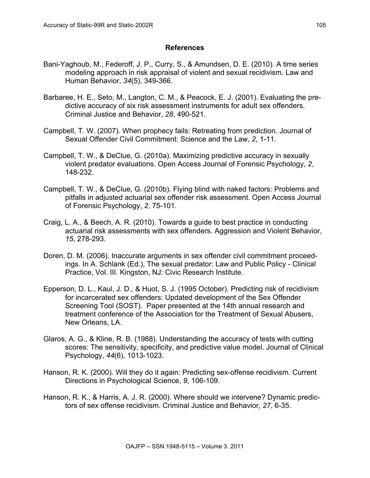#### **References**

- Bani-Yaghoub, M., Federoff, J. P., Curry, S., & Amundsen, D. E. (2010). A time series modeling approach in risk appraisal of violent and sexual recidivism. Law and Human Behavior, *34*(5), 349-366.
- Barbaree, H. E., Seto, M., Langton, C. M., & Peacock, E. J. (2001). Evaluating the predictive accuracy of six risk assessment instruments for adult sex offenders. Criminal Justice and Behavior, *28*, 490-521.
- Campbell, T. W. (2007). When prophecy fails: Retreating from prediction. Journal of Sexual Offender Civil Commitment: Science and the Law, *2*, 1-11.
- Campbell, T. W., & DeClue, G. (2010a). Maximizing predictive accuracy in sexually violent predator evaluations. Open Access Journal of Forensic Psychology, *2*, 148-232.
- Campbell, T. W., & DeClue, G. (2010b). Flying blind with naked factors: Problems and pitfalls in adjusted actuarial sex offender risk assessment. Open Access Journal of Forensic Psychology, *2*, 75-101.
- Craig, L. A., & Beech, A. R. (2010). Towards a guide to best practice in conducting actuarial risk assessments with sex offenders. Aggression and Violent Behavior, *15*, 278-293.
- Doren, D. M. (2006). Inaccurate arguments in sex offender civil commitment proceedings. In A. Schlank (Ed.), The sexual predator: Law and Public Policy - Clinical Practice, Vol. III. Kingston, NJ: Civic Research Institute.
- Epperson, D. L., Kaul, J. D., & Huot, S. J. (1995 October). Predicting risk of recidivism for incarcerated sex offenders: Updated development of the Sex Offender Screening Tool (SOST). Paper presented at the 14th annual research and treatment conference of the Association for the Treatment of Sexual Abusers, New Orleans, LA.
- Glaros, A. G., & Kline, R. B. (1988). Understanding the accuracy of tests with cutting scores: The sensitivity, specificity, and predictive value model. Journal of Clinical Psychology, *44*(6), 1013-1023.
- Hanson, R. K. (2000). Will they do it again: Predicting sex-offense recidivism. Current Directions in Psychological Science, *9*, 106-109.
- Hanson, R. K., & Harris, A. J. R. (2000). Where should we intervene? Dynamic predictors of sex offense recidivism. Criminal Justice and Behavior, *27*, 6-35.